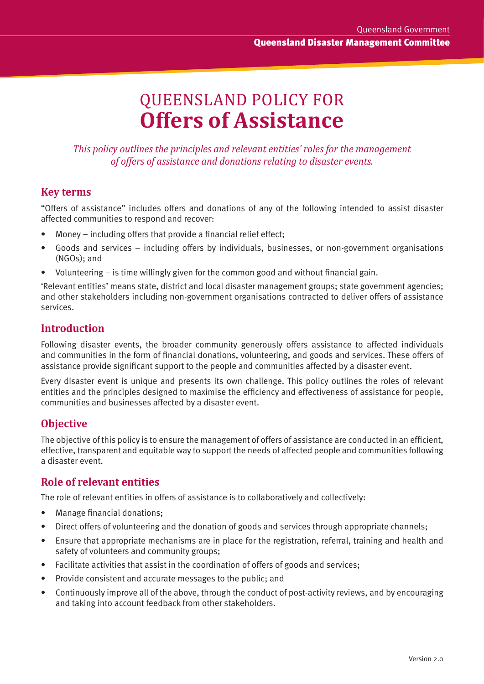# QUEENSLAND POLICY FOR **Offers of Assistance**

*This policy outlines the principles and relevant entities' roles for the management of offers of assistance and donations relating to disaster events.*

#### **Key terms**

"Offers of assistance" includes offers and donations of any of the following intended to assist disaster affected communities to respond and recover:

- Money including offers that provide a financial relief effect;
- Goods and services including offers by individuals, businesses, or non-government organisations (NGOs); and
- Volunteering  $-$  is time willingly given for the common good and without financial gain.

'Relevant entities' means state, district and local disaster management groups; state government agencies; and other stakeholders including non-government organisations contracted to deliver offers of assistance services.

#### **Introduction**

Includes over a and unindustical starting internal that is to respond and recover:<br>In the both affinancial relief effect;<br>In the both affinancial relief effect;<br>Incess – including offers by individuals, businesses, or non-Following disaster events, the broader community generously offers assistance to affected individuals and communities in the form of financial donations, volunteering, and goods and services. These offers of assistance provide significant support to the people and communities affected by a disaster event.

Every disaster event is unique and presents its own challenge. This policy outlines the roles of relevant entities and the principles designed to maximise the efficiency and effectiveness of assistance for people, communities and businesses affected by a disaster event.

### **Objective**

The objective of this policy is to ensure the management of offers of assistance are conducted in an efficient, effective, transparent and equitable way to support the needs of affected people and communities following a disaster event.

### **Role of relevant entities**

The role of relevant entities in offers of assistance is to collaboratively and collectively:

- Manage financial donations;
- Direct offers of volunteering and the donation of goods and services through appropriate channels;
- Ensure that appropriate mechanisms are in place for the registration, referral, training and health and safety of volunteers and community groups;
- Facilitate activities that assist in the coordination of offers of goods and services;
- Provide consistent and accurate messages to the public; and
- Continuously improve all of the above, through the conduct of post-activity reviews, and by encouraging and taking into account feedback from other stakeholders.